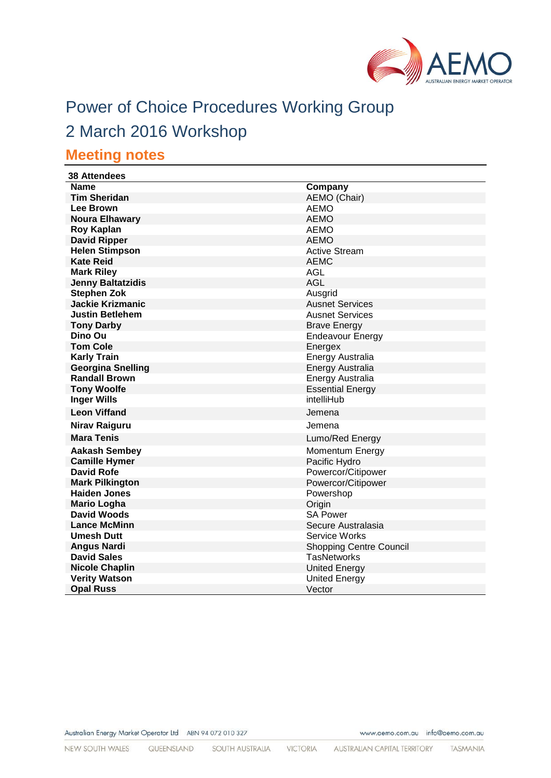

# Power of Choice Procedures Working Group

# 2 March 2016 Workshop

# **Meeting notes**

| <b>38 Attendees</b>      |                                |
|--------------------------|--------------------------------|
| <b>Name</b>              | Company                        |
| <b>Tim Sheridan</b>      | <b>AEMO</b> (Chair)            |
| <b>Lee Brown</b>         | <b>AEMO</b>                    |
| <b>Noura Elhawary</b>    | <b>AEMO</b>                    |
| <b>Roy Kaplan</b>        | <b>AEMO</b>                    |
| <b>David Ripper</b>      | <b>AEMO</b>                    |
| <b>Helen Stimpson</b>    | <b>Active Stream</b>           |
| Kate Reid                | <b>AEMC</b>                    |
| <b>Mark Riley</b>        | <b>AGL</b>                     |
| <b>Jenny Baltatzidis</b> | <b>AGL</b>                     |
| <b>Stephen Zok</b>       | Ausgrid                        |
| <b>Jackie Krizmanic</b>  | <b>Ausnet Services</b>         |
| <b>Justin Betlehem</b>   | <b>Ausnet Services</b>         |
| <b>Tony Darby</b>        | <b>Brave Energy</b>            |
| Dino Ou                  | <b>Endeavour Energy</b>        |
| <b>Tom Cole</b>          | Energex                        |
| <b>Karly Train</b>       | Energy Australia               |
| <b>Georgina Snelling</b> | <b>Energy Australia</b>        |
| <b>Randall Brown</b>     | Energy Australia               |
| <b>Tony Woolfe</b>       | <b>Essential Energy</b>        |
| <b>Inger Wills</b>       | intelliHub                     |
| <b>Leon Viffand</b>      | Jemena                         |
| Nirav Raiguru            | Jemena                         |
| <b>Mara Tenis</b>        | Lumo/Red Energy                |
| <b>Aakash Sembey</b>     | <b>Momentum Energy</b>         |
| <b>Camille Hymer</b>     | Pacific Hydro                  |
| <b>David Rofe</b>        | Powercor/Citipower             |
| <b>Mark Pilkington</b>   | Powercor/Citipower             |
| <b>Haiden Jones</b>      | Powershop                      |
| <b>Mario Logha</b>       | Origin                         |
| <b>David Woods</b>       | <b>SA Power</b>                |
| <b>Lance McMinn</b>      | Secure Australasia             |
| <b>Umesh Dutt</b>        | <b>Service Works</b>           |
| <b>Angus Nardi</b>       | <b>Shopping Centre Council</b> |
| <b>David Sales</b>       | <b>TasNetworks</b>             |
| <b>Nicole Chaplin</b>    | <b>United Energy</b>           |
| <b>Verity Watson</b>     | <b>United Energy</b>           |
| <b>Opal Russ</b>         | Vector                         |

Australian Energy Market Operator Ltd ABN 94 072 010 327

www.aemo.com.au info@aemo.com.au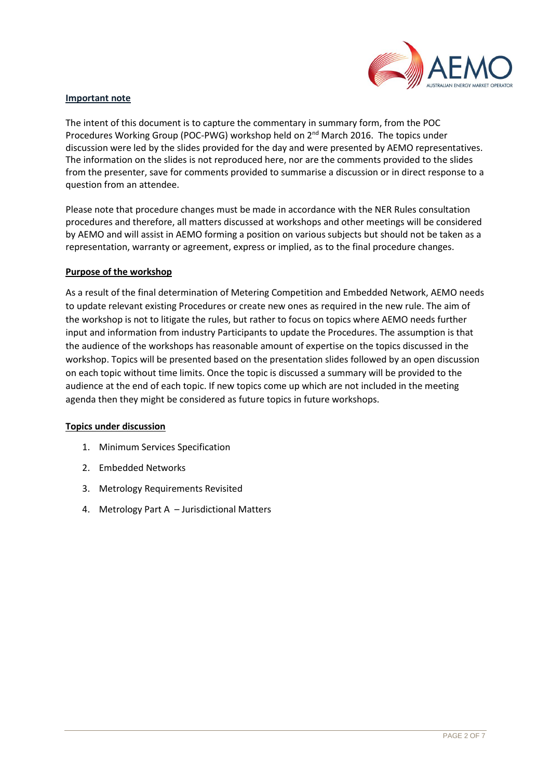

#### **Important note**

The intent of this document is to capture the commentary in summary form, from the POC Procedures Working Group (POC-PWG) workshop held on 2<sup>nd</sup> March 2016. The topics under discussion were led by the slides provided for the day and were presented by AEMO representatives. The information on the slides is not reproduced here, nor are the comments provided to the slides from the presenter, save for comments provided to summarise a discussion or in direct response to a question from an attendee.

Please note that procedure changes must be made in accordance with the NER Rules consultation procedures and therefore, all matters discussed at workshops and other meetings will be considered by AEMO and will assist in AEMO forming a position on various subjects but should not be taken as a representation, warranty or agreement, express or implied, as to the final procedure changes.

### **Purpose of the workshop**

As a result of the final determination of Metering Competition and Embedded Network, AEMO needs to update relevant existing Procedures or create new ones as required in the new rule. The aim of the workshop is not to litigate the rules, but rather to focus on topics where AEMO needs further input and information from industry Participants to update the Procedures. The assumption is that the audience of the workshops has reasonable amount of expertise on the topics discussed in the workshop. Topics will be presented based on the presentation slides followed by an open discussion on each topic without time limits. Once the topic is discussed a summary will be provided to the audience at the end of each topic. If new topics come up which are not included in the meeting agenda then they might be considered as future topics in future workshops.

#### **Topics under discussion**

- 1. Minimum Services Specification
- 2. Embedded Networks
- 3. Metrology Requirements Revisited
- 4. Metrology Part A Jurisdictional Matters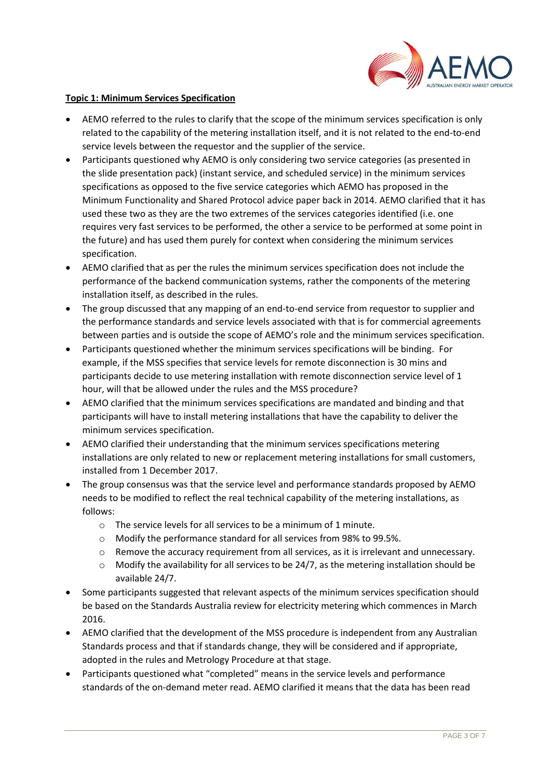

#### **Topic 1: Minimum Services Specification**

- AEMO referred to the rules to clarify that the scope of the minimum services specification is only related to the capability of the metering installation itself, and it is not related to the end-to-end service levels between the requestor and the supplier of the service.
- Participants questioned why AEMO is only considering two service categories (as presented in the slide presentation pack) (instant service, and scheduled service) in the minimum services specifications as opposed to the five service categories which AEMO has proposed in the Minimum Functionality and Shared Protocol advice paper back in 2014. AEMO clarified that it has used these two as they are the two extremes of the services categories identified (i.e. one requires very fast services to be performed, the other a service to be performed at some point in the future) and has used them purely for context when considering the minimum services specification.
- AEMO clarified that as per the rules the minimum services specification does not include the performance of the backend communication systems, rather the components of the metering installation itself, as described in the rules.
- The group discussed that any mapping of an end-to-end service from requestor to supplier and the performance standards and service levels associated with that is for commercial agreements between parties and is outside the scope of AEMO's role and the minimum services specification.
- Participants questioned whether the minimum services specifications will be binding. For example, if the MSS specifies that service levels for remote disconnection is 30 mins and participants decide to use metering installation with remote disconnection service level of 1 hour, will that be allowed under the rules and the MSS procedure?
- AEMO clarified that the minimum services specifications are mandated and binding and that participants will have to install metering installations that have the capability to deliver the minimum services specification.
- AEMO clarified their understanding that the minimum services specifications metering installations are only related to new or replacement metering installations for small customers, installed from 1 December 2017.
- The group consensus was that the service level and performance standards proposed by AEMO needs to be modified to reflect the real technical capability of the metering installations, as follows:
	- $\circ$  The service levels for all services to be a minimum of 1 minute.
	- o Modify the performance standard for all services from 98% to 99.5%.
	- $\circ$  Remove the accuracy requirement from all services, as it is irrelevant and unnecessary.
	- $\circ$  Modify the availability for all services to be 24/7, as the metering installation should be available 24/7.
- Some participants suggested that relevant aspects of the minimum services specification should be based on the Standards Australia review for electricity metering which commences in March 2016.
- AEMO clarified that the development of the MSS procedure is independent from any Australian Standards process and that if standards change, they will be considered and if appropriate, adopted in the rules and Metrology Procedure at that stage.
- Participants questioned what "completed" means in the service levels and performance standards of the on-demand meter read. AEMO clarified it means that the data has been read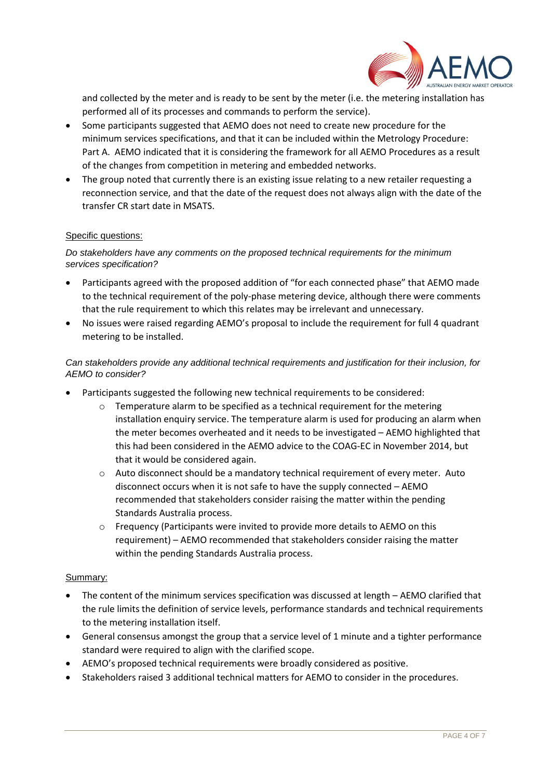

and collected by the meter and is ready to be sent by the meter (i.e. the metering installation has performed all of its processes and commands to perform the service).

- Some participants suggested that AEMO does not need to create new procedure for the minimum services specifications, and that it can be included within the Metrology Procedure: Part A. AEMO indicated that it is considering the framework for all AEMO Procedures as a result of the changes from competition in metering and embedded networks.
- The group noted that currently there is an existing issue relating to a new retailer requesting a reconnection service, and that the date of the request does not always align with the date of the transfer CR start date in MSATS.

# Specific questions:

# *Do stakeholders have any comments on the proposed technical requirements for the minimum services specification?*

- Participants agreed with the proposed addition of "for each connected phase" that AEMO made to the technical requirement of the poly-phase metering device, although there were comments that the rule requirement to which this relates may be irrelevant and unnecessary.
- No issues were raised regarding AEMO's proposal to include the requirement for full 4 quadrant metering to be installed.

# *Can stakeholders provide any additional technical requirements and justification for their inclusion, for AEMO to consider?*

- Participants suggested the following new technical requirements to be considered:
	- o Temperature alarm to be specified as a technical requirement for the metering installation enquiry service. The temperature alarm is used for producing an alarm when the meter becomes overheated and it needs to be investigated – AEMO highlighted that this had been considered in the AEMO advice to the COAG-EC in November 2014, but that it would be considered again.
	- $\circ$  Auto disconnect should be a mandatory technical requirement of every meter. Auto disconnect occurs when it is not safe to have the supply connected – AEMO recommended that stakeholders consider raising the matter within the pending Standards Australia process.
	- o Frequency (Participants were invited to provide more details to AEMO on this requirement) – AEMO recommended that stakeholders consider raising the matter within the pending Standards Australia process.

### Summary:

- The content of the minimum services specification was discussed at length AEMO clarified that the rule limits the definition of service levels, performance standards and technical requirements to the metering installation itself.
- General consensus amongst the group that a service level of 1 minute and a tighter performance standard were required to align with the clarified scope.
- AEMO's proposed technical requirements were broadly considered as positive.
- Stakeholders raised 3 additional technical matters for AEMO to consider in the procedures.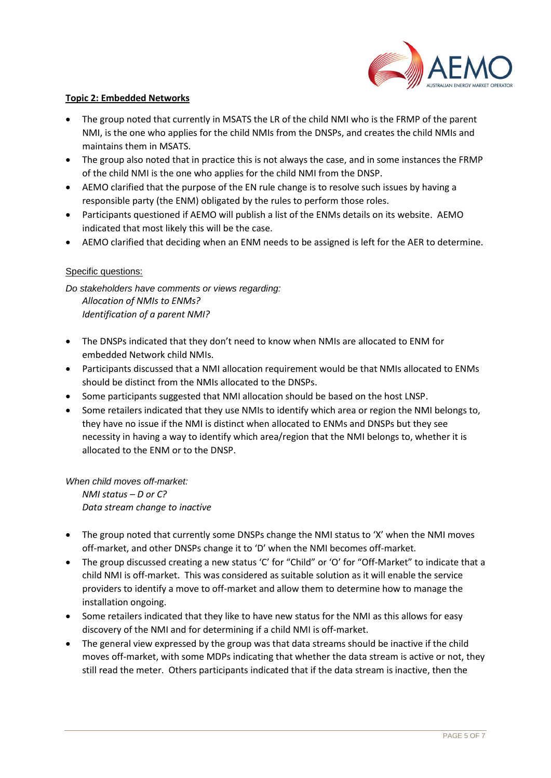

### **Topic 2: Embedded Networks**

- The group noted that currently in MSATS the LR of the child NMI who is the FRMP of the parent NMI, is the one who applies for the child NMIs from the DNSPs, and creates the child NMIs and maintains them in MSATS.
- The group also noted that in practice this is not always the case, and in some instances the FRMP of the child NMI is the one who applies for the child NMI from the DNSP.
- AEMO clarified that the purpose of the EN rule change is to resolve such issues by having a responsible party (the ENM) obligated by the rules to perform those roles.
- Participants questioned if AEMO will publish a list of the ENMs details on its website. AEMO indicated that most likely this will be the case.
- AEMO clarified that deciding when an ENM needs to be assigned is left for the AER to determine.

### Specific questions:

*Do stakeholders have comments or views regarding: Allocation of NMIs to ENMs? Identification of a parent NMI?*

- The DNSPs indicated that they don't need to know when NMIs are allocated to ENM for embedded Network child NMIs.
- Participants discussed that a NMI allocation requirement would be that NMIs allocated to ENMs should be distinct from the NMIs allocated to the DNSPs.
- Some participants suggested that NMI allocation should be based on the host LNSP.
- Some retailers indicated that they use NMIs to identify which area or region the NMI belongs to, they have no issue if the NMI is distinct when allocated to ENMs and DNSPs but they see necessity in having a way to identify which area/region that the NMI belongs to, whether it is allocated to the ENM or to the DNSP.

*When child moves off-market: NMI status – D or C? Data stream change to inactive*

- The group noted that currently some DNSPs change the NMI status to 'X' when the NMI moves off-market, and other DNSPs change it to 'D' when the NMI becomes off-market.
- The group discussed creating a new status 'C' for "Child" or 'O' for "Off-Market" to indicate that a child NMI is off-market. This was considered as suitable solution as it will enable the service providers to identify a move to off-market and allow them to determine how to manage the installation ongoing.
- Some retailers indicated that they like to have new status for the NMI as this allows for easy discovery of the NMI and for determining if a child NMI is off-market.
- The general view expressed by the group was that data streams should be inactive if the child moves off-market, with some MDPs indicating that whether the data stream is active or not, they still read the meter. Others participants indicated that if the data stream is inactive, then the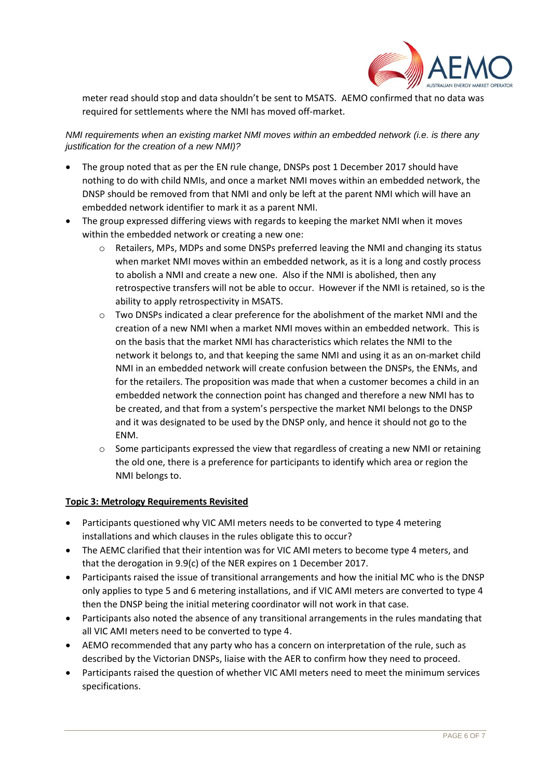

meter read should stop and data shouldn't be sent to MSATS. AEMO confirmed that no data was required for settlements where the NMI has moved off-market.

*NMI requirements when an existing market NMI moves within an embedded network (i.e. is there any justification for the creation of a new NMI)?*

- The group noted that as per the EN rule change, DNSPs post 1 December 2017 should have nothing to do with child NMIs, and once a market NMI moves within an embedded network, the DNSP should be removed from that NMI and only be left at the parent NMI which will have an embedded network identifier to mark it as a parent NMI.
- The group expressed differing views with regards to keeping the market NMI when it moves within the embedded network or creating a new one:
	- $\circ$  Retailers, MPs, MDPs and some DNSPs preferred leaving the NMI and changing its status when market NMI moves within an embedded network, as it is a long and costly process to abolish a NMI and create a new one. Also if the NMI is abolished, then any retrospective transfers will not be able to occur. However if the NMI is retained, so is the ability to apply retrospectivity in MSATS.
	- o Two DNSPs indicated a clear preference for the abolishment of the market NMI and the creation of a new NMI when a market NMI moves within an embedded network. This is on the basis that the market NMI has characteristics which relates the NMI to the network it belongs to, and that keeping the same NMI and using it as an on-market child NMI in an embedded network will create confusion between the DNSPs, the ENMs, and for the retailers. The proposition was made that when a customer becomes a child in an embedded network the connection point has changed and therefore a new NMI has to be created, and that from a system's perspective the market NMI belongs to the DNSP and it was designated to be used by the DNSP only, and hence it should not go to the ENM.
	- o Some participants expressed the view that regardless of creating a new NMI or retaining the old one, there is a preference for participants to identify which area or region the NMI belongs to.

### **Topic 3: Metrology Requirements Revisited**

- Participants questioned why VIC AMI meters needs to be converted to type 4 metering installations and which clauses in the rules obligate this to occur?
- The AEMC clarified that their intention was for VIC AMI meters to become type 4 meters, and that the derogation in 9.9(c) of the NER expires on 1 December 2017.
- Participants raised the issue of transitional arrangements and how the initial MC who is the DNSP only applies to type 5 and 6 metering installations, and if VIC AMI meters are converted to type 4 then the DNSP being the initial metering coordinator will not work in that case.
- Participants also noted the absence of any transitional arrangements in the rules mandating that all VIC AMI meters need to be converted to type 4.
- AEMO recommended that any party who has a concern on interpretation of the rule, such as described by the Victorian DNSPs, liaise with the AER to confirm how they need to proceed.
- Participants raised the question of whether VIC AMI meters need to meet the minimum services specifications.